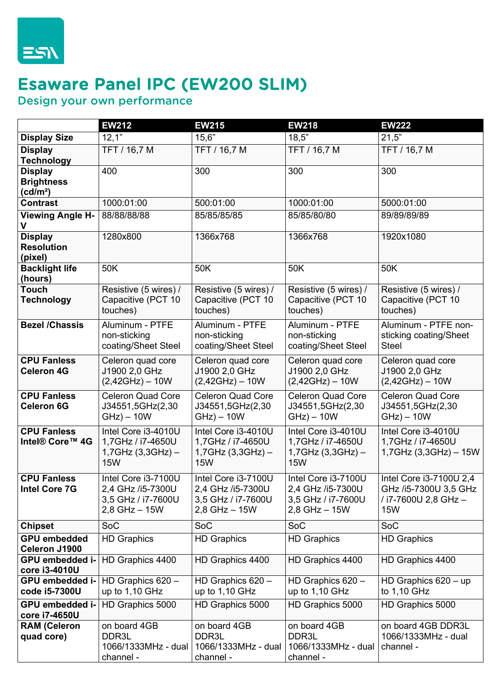

## Esaware Panel IPC (EW200 SLIM)

Design your own performance

|                                           | <b>EW212</b>               | <b>EW215</b>               | <b>EW218</b>               | <b>EW222</b>             |
|-------------------------------------------|----------------------------|----------------------------|----------------------------|--------------------------|
| <b>Display Size</b>                       | 12,1                       | 15,6"                      | 18,5"                      | 21,5"                    |
| <b>Display</b>                            | TFT / 16,7 M               | TFT / 16,7 M               | TFT / 16,7 M               | TFT / 16,7 M             |
| <b>Technology</b>                         |                            |                            |                            |                          |
| <b>Display</b>                            | 400                        | 300                        | 300                        | 300                      |
| <b>Brightness</b><br>(cd/m <sup>2</sup> ) |                            |                            |                            |                          |
| <b>Contrast</b>                           | 1000:01:00                 | 500:01:00                  | 1000:01:00                 | 5000:01:00               |
| <b>Viewing Angle H-</b>                   | 88/88/88/88                | 85/85/85/85                | 85/85/80/80                | 89/89/89/89              |
| V                                         |                            |                            |                            |                          |
| <b>Display</b>                            | 1280x800                   | 1366x768                   | 1366x768                   | 1920x1080                |
| <b>Resolution</b>                         |                            |                            |                            |                          |
| (pixel)                                   |                            |                            |                            |                          |
| <b>Backlight life</b><br>(hours)          | 50K                        | 50K                        | 50K                        | 50K                      |
| <b>Touch</b>                              | Resistive (5 wires) /      | Resistive (5 wires) /      | Resistive (5 wires) /      | Resistive (5 wires) /    |
| <b>Technology</b>                         | Capacitive (PCT 10         | Capacitive (PCT 10         | Capacitive (PCT 10         | Capacitive (PCT 10       |
|                                           | touches)                   | touches)                   | touches)                   | touches)                 |
| <b>Bezel /Chassis</b>                     | Aluminum - PTFE            | Aluminum - PTFE            | Aluminum - PTFE            | Aluminum - PTFE non-     |
|                                           | non-sticking               | non-sticking               | non-sticking               | sticking coating/Sheet   |
|                                           | coating/Sheet Steel        | coating/Sheet Steel        | coating/Sheet Steel        | <b>Steel</b>             |
| <b>CPU Fanless</b>                        | Celeron quad core          | Celeron quad core          | Celeron quad core          | Celeron quad core        |
| <b>Celeron 4G</b>                         | J1900 2,0 GHz              | J1900 2,0 GHz              | J1900 2,0 GHz              | J1900 2,0 GHz            |
|                                           | $(2,42GHz) - 10W$          | $(2,42GHz) - 10W$          | $(2,42GHz) - 10W$          | $(2,42GHz) - 10W$        |
| <b>CPU Fanless</b>                        | <b>Celeron Quad Core</b>   | <b>Celeron Quad Core</b>   | <b>Celeron Quad Core</b>   | <b>Celeron Quad Core</b> |
| <b>Celeron 6G</b>                         | J34551,5GHz(2,30           | J34551,5GHz(2,30           | J34551,5GHz(2,30           | J34551,5GHz(2,30         |
|                                           | $GHz$ ) – 10W              | $GHz$ ) – 10W              | $GHz$ ) – 10W              | $GHz$ ) – 10W            |
| <b>CPU Fanless</b>                        | Intel Core i3-4010U        | Intel Core i3-4010U        | Intel Core i3-4010U        | Intel Core i3-4010U      |
| Intel® Core™ 4G                           | 1,7GHz / i7-4650U          | 1,7GHz / i7-4650U          | 1,7GHz / i7-4650U          | 1,7GHz / i7-4650U        |
|                                           | $1,7$ GHz $(3,3$ GHz $)$ – | $1,7$ GHz $(3,3$ GHz $)$ – | $1,7$ GHz $(3,3$ GHz $)$ – | 1,7GHz (3,3GHz) - 15W    |
|                                           | <b>15W</b>                 | <b>15W</b>                 | <b>15W</b>                 |                          |
| <b>CPU Fanless</b>                        | Intel Core i3-7100U        | Intel Core i3-7100U        | Intel Core i3-7100U        | Intel Core i3-7100U 2,4  |
| <b>Intel Core 7G</b>                      | 2,4 GHz /i5-7300U          | 2,4 GHz /i5-7300U          | 2,4 GHz /i5-7300U          | GHz /i5-7300U 3,5 GHz    |
|                                           | 3,5 GHz / i7-7600U         | 3,5 GHz / i7-7600U         | 3,5 GHz / i7-7600U         | / i7-7600U 2,8 GHz -     |
|                                           | $2,8$ GHz $-15W$           | $2,8$ GHz $-15W$           | $2,8$ GHz $-15W$           | 15W                      |
| <b>Chipset</b>                            | SoC                        | SoC                        | SoC                        | SoC                      |
| <b>GPU embedded</b>                       | <b>HD Graphics</b>         | <b>HD Graphics</b>         | <b>HD Graphics</b>         | <b>HD Graphics</b>       |
| Celeron J1900                             |                            |                            |                            |                          |
| GPU embedded i-<br>core i3-4010U          | HD Graphics 4400           | HD Graphics 4400           | HD Graphics 4400           | HD Graphics 4400         |
| GPU embedded i-                           | HD Graphics $620 -$        | HD Graphics $620 -$        | HD Graphics $620 -$        | HD Graphics $620 - up$   |
| code i5-7300U                             | up to 1,10 GHz             | up to 1,10 GHz             | up to 1,10 GHz             | to 1,10 GHz              |
| GPU embedded i-                           | HD Graphics 5000           | HD Graphics 5000           | HD Graphics 5000           | HD Graphics 5000         |
| core i7-4650U                             |                            |                            |                            |                          |
| <b>RAM (Celeron</b>                       | on board 4GB               | on board 4GB               | on board 4GB               | on board 4GB DDR3L       |
| quad core)                                | DDR3L                      | DDR3L                      | DDR3L                      | 1066/1333MHz - dual      |
|                                           | 1066/1333MHz - dual        | 1066/1333MHz - dual        | 1066/1333MHz - dual        | channel -                |
|                                           | channel -                  | channel -                  | channel -                  |                          |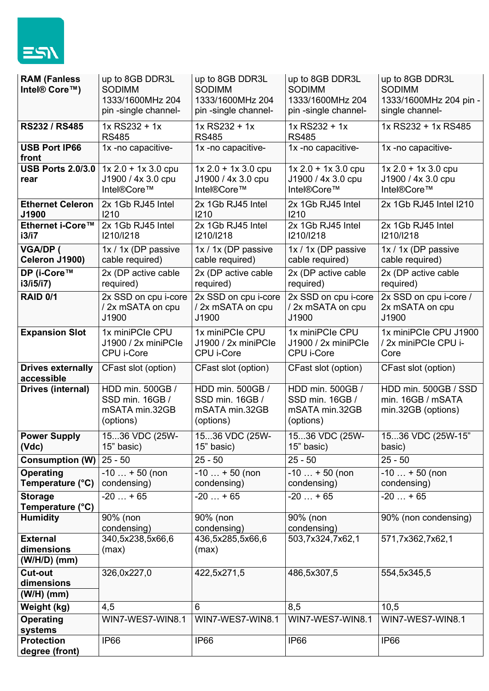

| <b>RAM (Fanless</b><br>Intel® Core™)          | up to 8GB DDR3L<br><b>SODIMM</b><br>1333/1600MHz 204<br>pin-single channel- | up to 8GB DDR3L<br><b>SODIMM</b><br>1333/1600MHz 204<br>pin-single channel- | up to 8GB DDR3L<br><b>SODIMM</b><br>1333/1600MHz 204<br>pin-single channel- | up to 8GB DDR3L<br><b>SODIMM</b><br>1333/1600MHz 204 pin -<br>single channel- |
|-----------------------------------------------|-----------------------------------------------------------------------------|-----------------------------------------------------------------------------|-----------------------------------------------------------------------------|-------------------------------------------------------------------------------|
| RS232 / RS485                                 | 1x RS232 + 1x<br><b>RS485</b>                                               | $1x$ RS232 + 1x<br><b>RS485</b>                                             | $1x$ RS232 + 1x<br><b>RS485</b>                                             | 1x RS232 + 1x RS485                                                           |
| <b>USB Port IP66</b><br>front                 | 1x -no capacitive-                                                          | 1x -no capacitive-                                                          | 1x -no capacitive-                                                          | 1x -no capacitive-                                                            |
| <b>USB Ports 2.0/3.0</b><br>rear              | $1x 2.0 + 1x 3.0$ cpu<br>J1900 / 4x 3.0 cpu<br>Intel®Core™                  | $1x 2.0 + 1x 3.0$ cpu<br>J1900 / 4x 3.0 cpu<br>Intel®Core™                  | $1x 2.0 + 1x 3.0$ cpu<br>J1900 / 4x 3.0 cpu<br>Intel®Core™                  | $1x 2.0 + 1x 3.0$ cpu<br>J1900 / 4x 3.0 cpu<br>Intel®Core™                    |
| <b>Ethernet Celeron</b><br>J1900              | 2x 1Gb RJ45 Intel<br>1210                                                   | 2x 1Gb RJ45 Intel<br>1210                                                   | 2x 1Gb RJ45 Intel<br>1210                                                   | 2x 1Gb RJ45 Intel I210                                                        |
| Ethernet i-Core™<br>i3/i7                     | 2x 1Gb RJ45 Intel<br>1210/1218                                              | 2x 1Gb RJ45 Intel<br>1210/1218                                              | 2x 1Gb RJ45 Intel<br>1210/1218                                              | 2x 1Gb RJ45 Intel<br>1210/1218                                                |
| <b>VGA/DP (</b><br>Celeron J1900)             | 1x / 1x (DP passive<br>cable required)                                      | 1x / 1x (DP passive<br>cable required)                                      | 1x / 1x (DP passive<br>cable required)                                      | 1x / 1x (DP passive<br>cable required)                                        |
| DP (i-Core™<br>i3/i5/i7                       | 2x (DP active cable<br>required)                                            | 2x (DP active cable<br>required)                                            | 2x (DP active cable<br>required)                                            | 2x (DP active cable<br>required)                                              |
| <b>RAID 0/1</b>                               | $\overline{2x}$ SSD on cpu i-core<br>/ 2x mSATA on cpu<br>J1900             | 2x SSD on cpu i-core<br>/ 2x mSATA on cpu<br>J1900                          | 2x SSD on cpu i-core<br>/ 2x mSATA on cpu<br>J1900                          | 2x SSD on cpu i-core /<br>2x mSATA on cpu<br>J1900                            |
| <b>Expansion Slot</b>                         | 1x miniPCle CPU<br>J1900 / 2x miniPCle<br>CPU i-Core                        | 1x miniPCle CPU<br>J1900 / 2x miniPCle<br>CPU i-Core                        | 1x miniPCle CPU<br>J1900 / 2x miniPCle<br>CPU i-Core                        | 1x miniPCle CPU J1900<br>/ 2x miniPCle CPU i-<br>Core                         |
| <b>Drives externally</b><br>accessible        | CFast slot (option)                                                         | CFast slot (option)                                                         | CFast slot (option)                                                         | CFast slot (option)                                                           |
| Drives (internal)                             | HDD min. 500GB /<br>SSD min. 16GB /<br>mSATA min.32GB<br>(options)          | HDD min. 500GB /<br>SSD min. 16GB /<br>mSATA min.32GB<br>(options)          | HDD min. 500GB /<br>SSD min. 16GB /<br>mSATA min.32GB<br>(options)          | HDD min. 500GB / SSD<br>min. 16GB / mSATA<br>min.32GB (options)               |
| <b>Power Supply</b><br>(Vdc)                  | 1536 VDC (25W-<br>15" basic)                                                | 1536 VDC (25W-<br>15" basic)                                                | 1536 VDC (25W-<br>15" basic)                                                | 1536 VDC (25W-15"<br>basic)                                                   |
| <b>Consumption (W)</b>                        | $25 - 50$                                                                   | $25 - 50$                                                                   | $25 - 50$                                                                   | $25 - 50$                                                                     |
| Operating<br>Temperature (°C)                 | $-10 + 50$ (non<br>condensing)                                              | $-10 + 50$ (non<br>condensing)                                              | $-10$ + 50 (non<br>condensing)                                              | $-10$ + 50 (non<br>condensing)                                                |
| <b>Storage</b><br>Temperature (°C)            | $-20+65$                                                                    | $-20+65$                                                                    | $-20+65$                                                                    | $-20+65$                                                                      |
| <b>Humidity</b>                               | 90% (non<br>condensing)                                                     | 90% (non<br>condensing)                                                     | 90% (non<br>condensing)                                                     | 90% (non condensing)                                                          |
| <b>External</b><br>dimensions<br>(W/H/D) (mm) | 340,5x238,5x66,6<br>(max)                                                   | 436,5x285,5x66,6<br>(max)                                                   | 503,7x324,7x62,1                                                            | 571,7x362,7x62,1                                                              |
| <b>Cut-out</b><br>dimensions<br>$(W/H)$ (mm)  | 326,0x227,0                                                                 | 422,5x271,5                                                                 | 486,5x307,5                                                                 | 554,5x345,5                                                                   |
| Weight (kg)                                   | 4,5                                                                         | 6                                                                           | 8,5                                                                         | 10,5                                                                          |
| <b>Operating</b><br>systems                   | WIN7-WES7-WIN8.1                                                            | WIN7-WES7-WIN8.1                                                            | WIN7-WES7-WIN8.1                                                            | WIN7-WES7-WIN8.1                                                              |
| <b>Protection</b><br>degree (front)           | IP <sub>66</sub>                                                            | IP <sub>66</sub>                                                            | IP <sub>66</sub>                                                            | IP <sub>66</sub>                                                              |